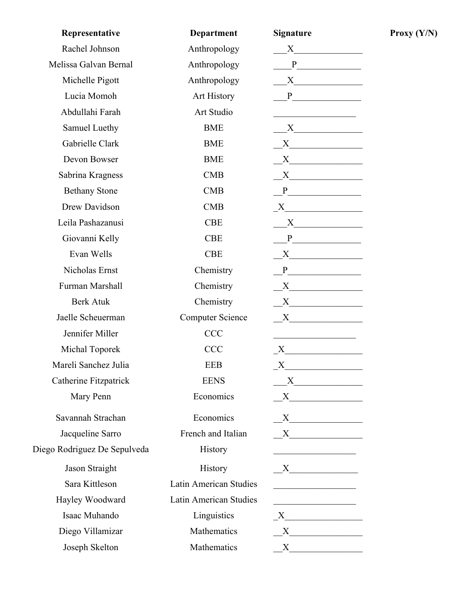| Representative               | <b>Department</b>       | <b>Signature</b>                                                                                                                                                                                                              |
|------------------------------|-------------------------|-------------------------------------------------------------------------------------------------------------------------------------------------------------------------------------------------------------------------------|
| Rachel Johnson               | Anthropology            | $X \qquad \qquad \qquad$                                                                                                                                                                                                      |
| Melissa Galvan Bernal        | Anthropology            |                                                                                                                                                                                                                               |
| Michelle Pigott              | Anthropology            |                                                                                                                                                                                                                               |
| Lucia Momoh                  | Art History             | $P \qquad \qquad$                                                                                                                                                                                                             |
| Abdullahi Farah              | Art Studio              | <u> 1986 - Johann Stoff, Amerikaansk konst</u>                                                                                                                                                                                |
| Samuel Luethy                | <b>BME</b>              | $X$ and $X$ and $X$ and $X$ and $X$ and $X$ and $X$ and $X$ and $X$ and $X$ and $X$ and $X$ and $X$ and $X$ and $X$ and $X$ and $X$ and $X$ and $X$ and $X$ and $X$ and $X$ and $X$ and $X$ and $X$ and $X$ and $X$ and $X$ a |
| Gabrielle Clark              | <b>BME</b>              | X                                                                                                                                                                                                                             |
| Devon Bowser                 | <b>BME</b>              | X                                                                                                                                                                                                                             |
| Sabrina Kragness             | <b>CMB</b>              | $X$ and $X$ and $X$ and $X$ and $X$ and $X$ and $X$ and $X$ and $X$ and $X$ and $X$ and $X$ and $X$ and $X$ and $X$ and $X$ and $X$ and $X$ and $X$ and $X$ and $X$ and $X$ and $X$ and $X$ and $X$ and $X$ and $X$ and $X$ a |
| <b>Bethany Stone</b>         | <b>CMB</b>              | P                                                                                                                                                                                                                             |
| Drew Davidson                | CMB                     |                                                                                                                                                                                                                               |
| Leila Pashazanusi            | <b>CBE</b>              | X                                                                                                                                                                                                                             |
| Giovanni Kelly               | <b>CBE</b>              | P                                                                                                                                                                                                                             |
| Evan Wells                   | <b>CBE</b>              | X                                                                                                                                                                                                                             |
| Nicholas Ernst               | Chemistry               |                                                                                                                                                                                                                               |
| Furman Marshall              | Chemistry               | $\overline{X}$                                                                                                                                                                                                                |
| <b>Berk Atuk</b>             | Chemistry               | $X$ and $X$ and $X$ and $X$ and $X$ and $X$ and $X$ and $X$ and $X$ and $X$ and $X$ and $X$ and $X$ and $X$ and $X$ and $X$ and $X$ and $X$ and $X$ and $X$ and $X$ and $X$ and $X$ and $X$ and $X$ and $X$ and $X$ and $X$ a |
| Jaelle Scheuerman            | <b>Computer Science</b> |                                                                                                                                                                                                                               |
| Jennifer Miller              | <b>CCC</b>              |                                                                                                                                                                                                                               |
| Michal Toporek               | <b>CCC</b>              | $X \sim$                                                                                                                                                                                                                      |
| Mareli Sanchez Julia         | <b>EEB</b>              | X                                                                                                                                                                                                                             |
| Catherine Fitzpatrick        | <b>EENS</b>             |                                                                                                                                                                                                                               |
| Mary Penn                    | Economics               | X                                                                                                                                                                                                                             |
| Savannah Strachan            | Economics               |                                                                                                                                                                                                                               |
| Jacqueline Sarro             | French and Italian      | X                                                                                                                                                                                                                             |
| Diego Rodriguez De Sepulveda | <b>History</b>          | <u> 1989 - Johann Harry Barn, mars ar breist fan de Amerikaanske kommunister (</u>                                                                                                                                            |
| Jason Straight               | History                 | $X$ and $X$ and $X$ and $X$ and $X$ and $X$ and $X$ and $X$ and $X$ and $X$ and $X$ and $X$ and $X$ and $X$ and $X$ and $X$ and $X$ and $X$ and $X$ and $X$ and $X$ and $X$ and $X$ and $X$ and $X$ and $X$ and $X$ and $X$ a |
| Sara Kittleson               | Latin American Studies  |                                                                                                                                                                                                                               |
| Hayley Woodward              | Latin American Studies  | <u> 1990 - Johann Barbara, martin a</u>                                                                                                                                                                                       |
| Isaac Muhando                | Linguistics             | $X$ and $X$ and $X$ and $X$ and $X$ and $X$ and $X$ and $X$ and $X$ and $X$ and $X$ and $X$ and $X$ and $X$ and $X$ and $X$ and $X$ and $X$ and $X$ and $X$ and $X$ and $X$ and $X$ and $X$ and $X$ and $X$ and $X$ and $X$ a |
| Diego Villamizar             | Mathematics             | $X$ and $X$ and $X$ and $X$ and $X$ and $X$ and $X$ and $X$ and $X$ and $X$ and $X$ and $X$ and $X$ and $X$ and $X$ and $X$ and $X$ and $X$ and $X$ and $X$ and $X$ and $X$ and $X$ and $X$ and $X$ and $X$ and $X$ and $X$ a |
| Joseph Skelton               | Mathematics             | $X \sim$                                                                                                                                                                                                                      |

 $Proxy (Y/N)$